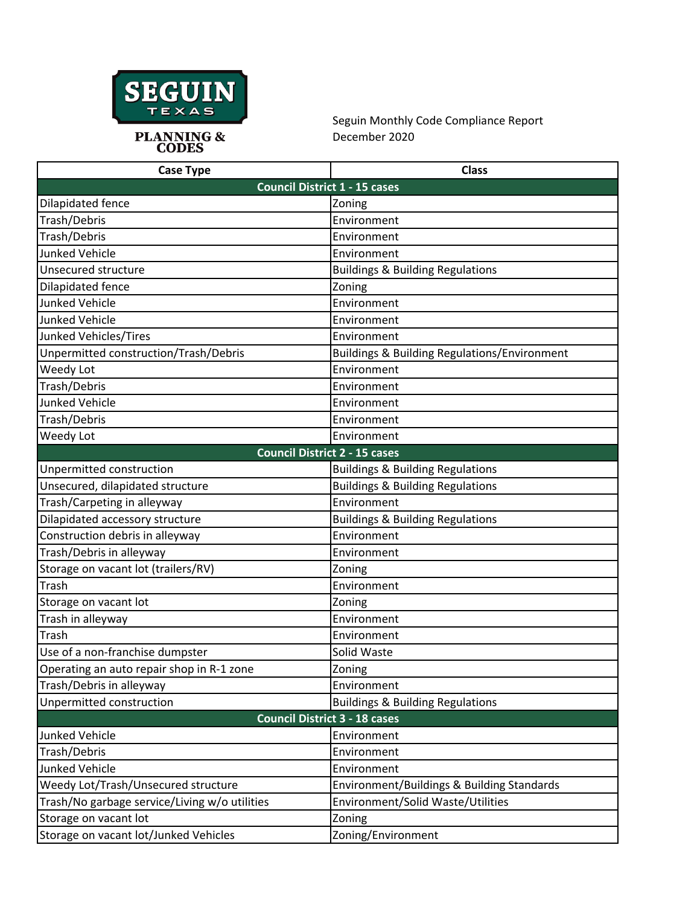

Seguin Monthly Code Compliance Report December 2020

| <b>Case Type</b>                              | <b>Class</b>                                            |
|-----------------------------------------------|---------------------------------------------------------|
| <b>Council District 1 - 15 cases</b>          |                                                         |
| Dilapidated fence                             | Zoning                                                  |
| Trash/Debris                                  | Environment                                             |
| Trash/Debris                                  | Environment                                             |
| <b>Junked Vehicle</b>                         | Environment                                             |
| Unsecured structure                           | <b>Buildings &amp; Building Regulations</b>             |
| Dilapidated fence                             | Zoning                                                  |
| <b>Junked Vehicle</b>                         | Environment                                             |
| <b>Junked Vehicle</b>                         | Environment                                             |
| Junked Vehicles/Tires                         | Environment                                             |
| Unpermitted construction/Trash/Debris         | <b>Buildings &amp; Building Regulations/Environment</b> |
| Weedy Lot                                     | Environment                                             |
| Trash/Debris                                  | Environment                                             |
| <b>Junked Vehicle</b>                         | Environment                                             |
| Trash/Debris                                  | Environment                                             |
| Weedy Lot                                     | Environment                                             |
| <b>Council District 2 - 15 cases</b>          |                                                         |
| Unpermitted construction                      | <b>Buildings &amp; Building Regulations</b>             |
| Unsecured, dilapidated structure              | <b>Buildings &amp; Building Regulations</b>             |
| Trash/Carpeting in alleyway                   | Environment                                             |
| Dilapidated accessory structure               | <b>Buildings &amp; Building Regulations</b>             |
| Construction debris in alleyway               | Environment                                             |
| Trash/Debris in alleyway                      | Environment                                             |
| Storage on vacant lot (trailers/RV)           | Zoning                                                  |
| Trash                                         | Environment                                             |
| Storage on vacant lot                         | Zoning                                                  |
| Trash in alleyway                             | Environment                                             |
| Trash                                         | Environment                                             |
| Use of a non-franchise dumpster               | Solid Waste                                             |
| Operating an auto repair shop in R-1 zone     | Zoning                                                  |
| Trash/Debris in alleyway                      | Environment                                             |
| Unpermitted construction                      | <b>Buildings &amp; Building Regulations</b>             |
| <b>Council District 3 - 18 cases</b>          |                                                         |
| Junked Vehicle                                | Environment                                             |
| Trash/Debris                                  | Environment                                             |
| <b>Junked Vehicle</b>                         | Environment                                             |
| Weedy Lot/Trash/Unsecured structure           | Environment/Buildings & Building Standards              |
| Trash/No garbage service/Living w/o utilities | Environment/Solid Waste/Utilities                       |
| Storage on vacant lot                         | Zoning                                                  |
| Storage on vacant lot/Junked Vehicles         | Zoning/Environment                                      |